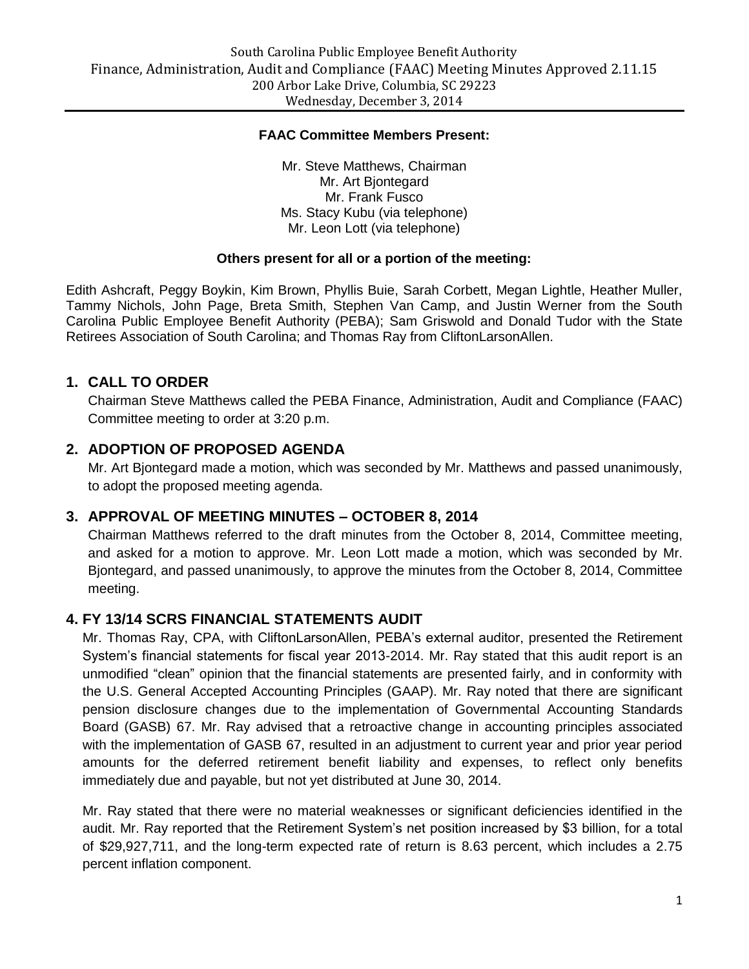#### **FAAC Committee Members Present:**

Mr. Steve Matthews, Chairman Mr. Art Bjontegard Mr. Frank Fusco Ms. Stacy Kubu (via telephone) Mr. Leon Lott (via telephone)

#### **Others present for all or a portion of the meeting:**

Edith Ashcraft, Peggy Boykin, Kim Brown, Phyllis Buie, Sarah Corbett, Megan Lightle, Heather Muller, Tammy Nichols, John Page, Breta Smith, Stephen Van Camp, and Justin Werner from the South Carolina Public Employee Benefit Authority (PEBA); Sam Griswold and Donald Tudor with the State Retirees Association of South Carolina; and Thomas Ray from CliftonLarsonAllen.

### **1. CALL TO ORDER**

Chairman Steve Matthews called the PEBA Finance, Administration, Audit and Compliance (FAAC) Committee meeting to order at 3:20 p.m.

### **2. ADOPTION OF PROPOSED AGENDA**

Mr. Art Bjontegard made a motion, which was seconded by Mr. Matthews and passed unanimously, to adopt the proposed meeting agenda.

#### **3. APPROVAL OF MEETING MINUTES – OCTOBER 8, 2014**

Chairman Matthews referred to the draft minutes from the October 8, 2014, Committee meeting, and asked for a motion to approve. Mr. Leon Lott made a motion, which was seconded by Mr. Bjontegard, and passed unanimously, to approve the minutes from the October 8, 2014, Committee meeting.

### **4. FY 13/14 SCRS FINANCIAL STATEMENTS AUDIT**

Mr. Thomas Ray, CPA, with CliftonLarsonAllen, PEBA's external auditor, presented the Retirement System's financial statements for fiscal year 2013-2014. Mr. Ray stated that this audit report is an unmodified "clean" opinion that the financial statements are presented fairly, and in conformity with the U.S. General Accepted Accounting Principles (GAAP). Mr. Ray noted that there are significant pension disclosure changes due to the implementation of Governmental Accounting Standards Board (GASB) 67. Mr. Ray advised that a retroactive change in accounting principles associated with the implementation of GASB 67, resulted in an adjustment to current year and prior year period amounts for the deferred retirement benefit liability and expenses, to reflect only benefits immediately due and payable, but not yet distributed at June 30, 2014.

Mr. Ray stated that there were no material weaknesses or significant deficiencies identified in the audit. Mr. Ray reported that the Retirement System's net position increased by \$3 billion, for a total of \$29,927,711, and the long-term expected rate of return is 8.63 percent, which includes a 2.75 percent inflation component.